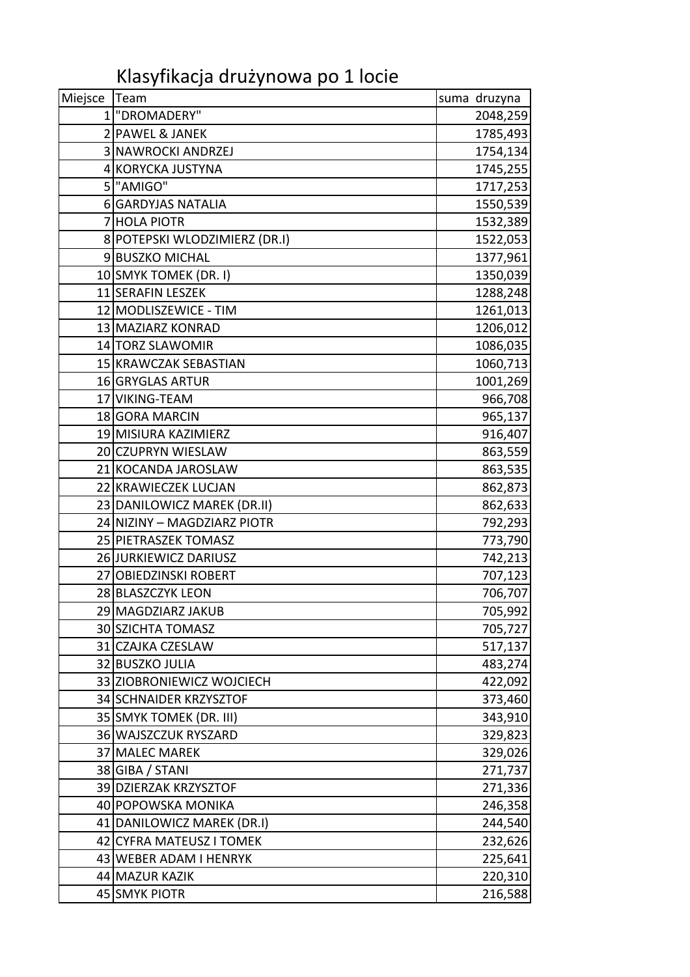Klasyfikacja drużynowa po 1 locie

| Miejsce   Team |                               | suma druzyna |
|----------------|-------------------------------|--------------|
|                | 1 "DROMADERY"                 | 2048,259     |
|                | 2 PAWEL & JANEK               | 1785,493     |
|                | 3 NAWROCKI ANDRZEJ            | 1754,134     |
|                | 4 KORYCKA JUSTYNA             | 1745,255     |
|                | 5 "AMIGO"                     | 1717,253     |
|                | 6 GARDYJAS NATALIA            | 1550,539     |
| 7              | <b>HOLA PIOTR</b>             | 1532,389     |
|                | 8 POTEPSKI WLODZIMIERZ (DR.I) | 1522,053     |
|                | 9BUSZKO MICHAL                | 1377,961     |
|                | 10 SMYK TOMEK (DR. I)         | 1350,039     |
|                | 11 SERAFIN LESZEK             | 1288,248     |
|                | 12 MODLISZEWICE - TIM         | 1261,013     |
|                | 13 MAZIARZ KONRAD             | 1206,012     |
|                | 14 TORZ SLAWOMIR              | 1086,035     |
|                | 15 KRAWCZAK SEBASTIAN         | 1060,713     |
|                | 16 GRYGLAS ARTUR              | 1001,269     |
|                | 17 VIKING-TEAM                | 966,708      |
|                | 18 GORA MARCIN                | 965,137      |
|                | 19 MISIURA KAZIMIERZ          | 916,407      |
|                | 20 CZUPRYN WIESLAW            | 863,559      |
|                | 21 KOCANDA JAROSLAW           | 863,535      |
|                | 22 KRAWIECZEK LUCJAN          | 862,873      |
|                | 23 DANILOWICZ MAREK (DR.II)   | 862,633      |
|                | 24 NIZINY - MAGDZIARZ PIOTR   | 792,293      |
|                | 25 PIETRASZEK TOMASZ          | 773,790      |
|                | 26 JURKIEWICZ DARIUSZ         | 742,213      |
|                | 27 OBIEDZINSKI ROBERT         | 707,123      |
|                | 28 BLASZCZYK LEON             | 706,707      |
|                | 29 MAGDZIARZ JAKUB            | 705,992      |
|                | 30 SZICHTA TOMASZ             | 705,727      |
|                | 31 CZAJKA CZESLAW             | 517,137      |
|                | 32 BUSZKO JULIA               | 483,274      |
|                | 33 ZIOBRONIEWICZ WOJCIECH     | 422,092      |
|                | 34 SCHNAIDER KRZYSZTOF        | 373,460      |
|                | 35 SMYK TOMEK (DR. III)       | 343,910      |
|                | 36 WAJSZCZUK RYSZARD          | 329,823      |
|                | 37 MALEC MAREK                | 329,026      |
|                | 38 GIBA / STANI               | 271,737      |
|                | 39 DZIERZAK KRZYSZTOF         | 271,336      |
|                | 40 POPOWSKA MONIKA            | 246,358      |
|                | 41 DANILOWICZ MAREK (DR.I)    | 244,540      |
|                | 42 CYFRA MATEUSZ I TOMEK      | 232,626      |
|                | 43 WEBER ADAM I HENRYK        | 225,641      |
|                | 44 MAZUR KAZIK                | 220,310      |
|                | 45 SMYK PIOTR                 | 216,588      |